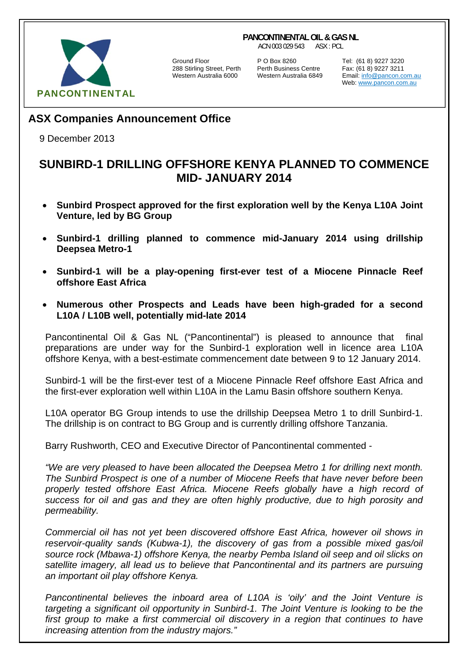#### **PANCONTINENTAL OIL & GAS NL**

ACN 003 029 543 ASX : PCL



288 Stirling Street, Perth Perth Business Centre Fax: (61 8) 9227 3211

Ground Floor **P O Box 8260** Tel: (61 8) 9227 3220<br>288 Stirling Street, Perth Perth Business Centre Fax: (61 8) 9227 3211

Email: info@pancon.com.au Web: www.pancon.com.au

## **ASX Companies Announcement Office**

9 December 2013

# **SUNBIRD-1 DRILLING OFFSHORE KENYA PLANNED TO COMMENCE MID- JANUARY 2014**

- **Sunbird Prospect approved for the first exploration well by the Kenya L10A Joint Venture, led by BG Group**
- **Sunbird-1 drilling planned to commence mid-January 2014 using drillship Deepsea Metro-1**
- **Sunbird-1 will be a play-opening first-ever test of a Miocene Pinnacle Reef offshore East Africa**
- **Numerous other Prospects and Leads have been high-graded for a second L10A / L10B well, potentially mid-late 2014**

Pancontinental Oil & Gas NL ("Pancontinental") is pleased to announce that final preparations are under way for the Sunbird-1 exploration well in licence area L10A offshore Kenya, with a best-estimate commencement date between 9 to 12 January 2014.

Sunbird-1 will be the first-ever test of a Miocene Pinnacle Reef offshore East Africa and the first-ever exploration well within L10A in the Lamu Basin offshore southern Kenya.

L10A operator BG Group intends to use the drillship Deepsea Metro 1 to drill Sunbird-1. The drillship is on contract to BG Group and is currently drilling offshore Tanzania.

Barry Rushworth, CEO and Executive Director of Pancontinental commented -

*"We are very pleased to have been allocated the Deepsea Metro 1 for drilling next month. The Sunbird Prospect is one of a number of Miocene Reefs that have never before been properly tested offshore East Africa. Miocene Reefs globally have a high record of success for oil and gas and they are often highly productive, due to high porosity and permeability.* 

*Commercial oil has not yet been discovered offshore East Africa, however oil shows in reservoir-quality sands (Kubwa-1), the discovery of gas from a possible mixed gas/oil source rock (Mbawa-1) offshore Kenya, the nearby Pemba Island oil seep and oil slicks on satellite imagery, all lead us to believe that Pancontinental and its partners are pursuing an important oil play offshore Kenya.* 

*Pancontinental believes the inboard area of L10A is 'oily' and the Joint Venture is targeting a significant oil opportunity in Sunbird-1. The Joint Venture is looking to be the first group to make a first commercial oil discovery in a region that continues to have increasing attention from the industry majors."*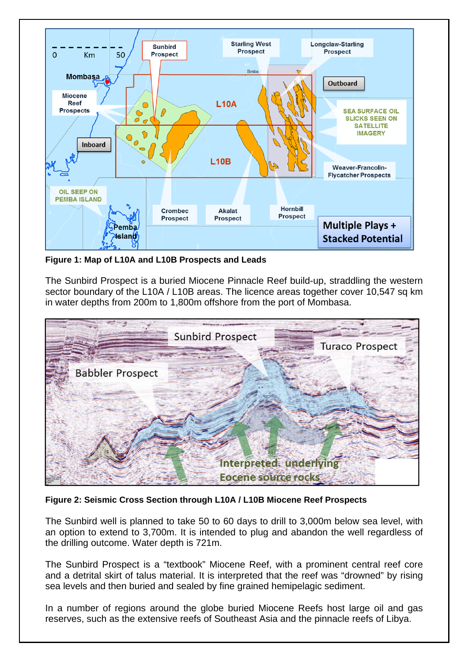

**Figure 1: Map of L10A and L10B Prospects and Leads** 

The Sunbird Prospect is a buried Miocene Pinnacle Reef build-up, straddling the western sector boundary of the L10A / L10B areas. The licence areas together cover 10,547 sq km in water depths from 200m to 1,800m offshore from the port of Mombasa.



**Figure 2: Seismic Cross Section through L10A / L10B Miocene Reef Prospects** 

The Sunbird well is planned to take 50 to 60 days to drill to 3,000m below sea level, with an option to extend to 3,700m. It is intended to plug and abandon the well regardless of the drilling outcome. Water depth is 721m.

The Sunbird Prospect is a "textbook" Miocene Reef, with a prominent central reef core and a detrital skirt of talus material. It is interpreted that the reef was "drowned" by rising sea levels and then buried and sealed by fine grained hemipelagic sediment.

In a number of regions around the globe buried Miocene Reefs host large oil and gas reserves, such as the extensive reefs of Southeast Asia and the pinnacle reefs of Libya.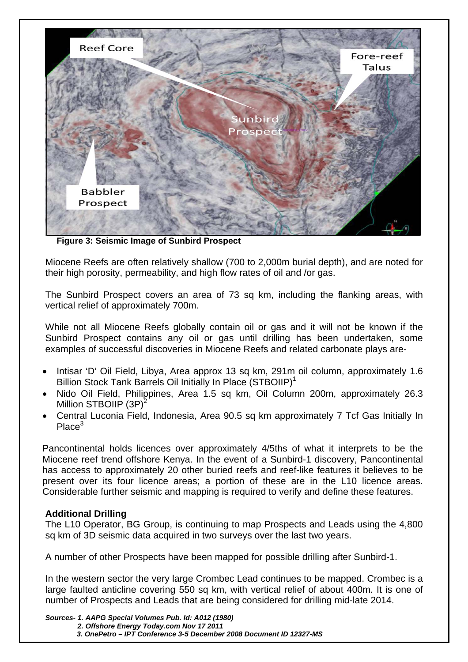

 **Figure 3: Seismic Image of Sunbird Prospect**

Miocene Reefs are often relatively shallow (700 to 2,000m burial depth), and are noted for their high porosity, permeability, and high flow rates of oil and /or gas.

The Sunbird Prospect covers an area of 73 sq km, including the flanking areas, with vertical relief of approximately 700m.

While not all Miocene Reefs globally contain oil or gas and it will not be known if the Sunbird Prospect contains any oil or gas until drilling has been undertaken, some examples of successful discoveries in Miocene Reefs and related carbonate plays are-

- Intisar 'D' Oil Field, Libya, Area approx 13 sq km, 291m oil column, approximately 1.6 Billion Stock Tank Barrels Oil Initially In Place (STBOIIP)<sup>1</sup>
- Nido Oil Field, Philippines, Area 1.5 sq km, Oil Column 200m, approximately 26.3 Million STBOIIP (3P)<sup>2</sup>
- Central Luconia Field, Indonesia, Area 90.5 sq km approximately 7 Tcf Gas Initially In Place<sup>3</sup>

Pancontinental holds licences over approximately 4/5ths of what it interprets to be the Miocene reef trend offshore Kenya. In the event of a Sunbird-1 discovery, Pancontinental has access to approximately 20 other buried reefs and reef-like features it believes to be present over its four licence areas; a portion of these are in the L10 licence areas. Considerable further seismic and mapping is required to verify and define these features.

## **Additional Drilling**

The L10 Operator, BG Group, is continuing to map Prospects and Leads using the 4,800 sq km of 3D seismic data acquired in two surveys over the last two years.

A number of other Prospects have been mapped for possible drilling after Sunbird-1.

In the western sector the very large Crombec Lead continues to be mapped. Crombec is a large faulted anticline covering 550 sq km, with vertical relief of about 400m. It is one of number of Prospects and Leads that are being considered for drilling mid-late 2014.

*Sources- 1. AAPG Special Volumes Pub. Id: A012 (1980) 2. Offshore Energy Today.com Nov 17 2011 3. OnePetro – IPT Conference 3-5 December 2008 Document ID 12327-MS*